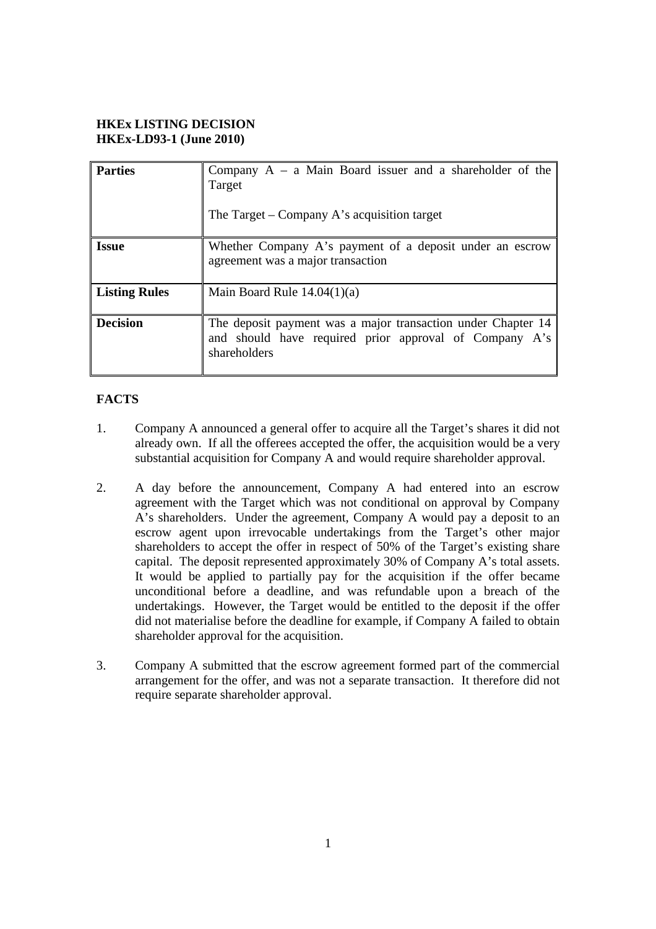## **HKEx LISTING DECISION HKEx-LD93-1 (June 2010)**

| <b>Parties</b>       | Company $A - a$ Main Board issuer and a shareholder of the<br>Target<br>The Target – Company A's acquisition target                    |
|----------------------|----------------------------------------------------------------------------------------------------------------------------------------|
| <b>Issue</b>         | Whether Company A's payment of a deposit under an escrow<br>agreement was a major transaction                                          |
| <b>Listing Rules</b> | Main Board Rule $14.04(1)(a)$                                                                                                          |
| <b>Decision</b>      | The deposit payment was a major transaction under Chapter 14<br>and should have required prior approval of Company A's<br>shareholders |

# **FACTS**

- 1. Company A announced a general offer to acquire all the Target's shares it did not already own. If all the offerees accepted the offer, the acquisition would be a very substantial acquisition for Company A and would require shareholder approval.
- 2. A day before the announcement, Company A had entered into an escrow agreement with the Target which was not conditional on approval by Company A's shareholders. Under the agreement, Company A would pay a deposit to an escrow agent upon irrevocable undertakings from the Target's other major shareholders to accept the offer in respect of 50% of the Target's existing share capital. The deposit represented approximately 30% of Company A's total assets. It would be applied to partially pay for the acquisition if the offer became unconditional before a deadline, and was refundable upon a breach of the undertakings. However, the Target would be entitled to the deposit if the offer did not materialise before the deadline for example, if Company A failed to obtain shareholder approval for the acquisition.
- 3. Company A submitted that the escrow agreement formed part of the commercial arrangement for the offer, and was not a separate transaction. It therefore did not require separate shareholder approval.